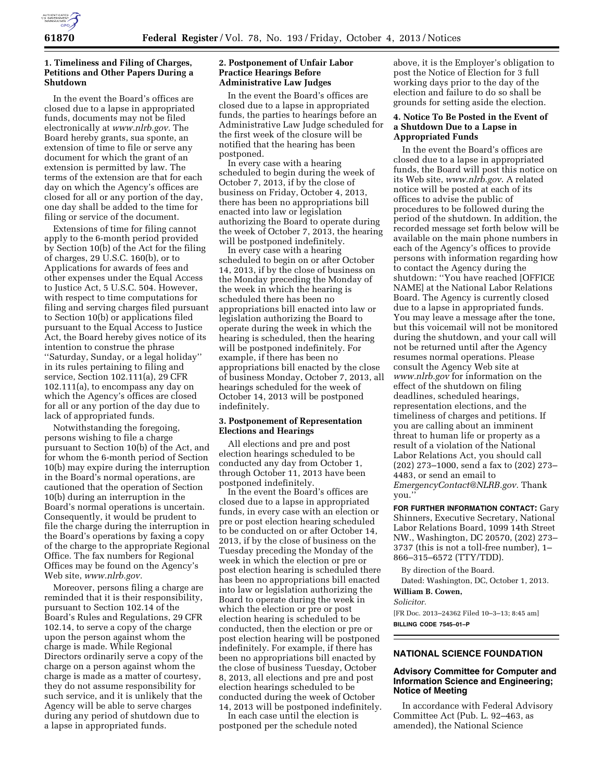

## **1. Timeliness and Filing of Charges, Petitions and Other Papers During a Shutdown**

In the event the Board's offices are closed due to a lapse in appropriated funds, documents may not be filed electronically at *[www.nlrb.gov.](http://www.nlrb.gov)* The Board hereby grants, sua sponte, an extension of time to file or serve any document for which the grant of an extension is permitted by law. The terms of the extension are that for each day on which the Agency's offices are closed for all or any portion of the day, one day shall be added to the time for filing or service of the document.

Extensions of time for filing cannot apply to the 6-month period provided by Section 10(b) of the Act for the filing of charges, 29 U.S.C. 160(b), or to Applications for awards of fees and other expenses under the Equal Access to Justice Act, 5 U.S.C. 504. However, with respect to time computations for filing and serving charges filed pursuant to Section 10(b) or applications filed pursuant to the Equal Access to Justice Act, the Board hereby gives notice of its intention to construe the phrase ''Saturday, Sunday, or a legal holiday'' in its rules pertaining to filing and service, Section 102.111(a), 29 CFR 102.111(a), to encompass any day on which the Agency's offices are closed for all or any portion of the day due to lack of appropriated funds.

Notwithstanding the foregoing, persons wishing to file a charge pursuant to Section 10(b) of the Act, and for whom the 6-month period of Section 10(b) may expire during the interruption in the Board's normal operations, are cautioned that the operation of Section 10(b) during an interruption in the Board's normal operations is uncertain. Consequently, it would be prudent to file the charge during the interruption in the Board's operations by faxing a copy of the charge to the appropriate Regional Office. The fax numbers for Regional Offices may be found on the Agency's Web site, *[www.nlrb.gov.](http://www.nlrb.gov)* 

Moreover, persons filing a charge are reminded that it is their responsibility, pursuant to Section 102.14 of the Board's Rules and Regulations, 29 CFR 102.14, to serve a copy of the charge upon the person against whom the charge is made. While Regional Directors ordinarily serve a copy of the charge on a person against whom the charge is made as a matter of courtesy, they do not assume responsibility for such service, and it is unlikely that the Agency will be able to serve charges during any period of shutdown due to a lapse in appropriated funds.

## **2. Postponement of Unfair Labor Practice Hearings Before Administrative Law Judges**

In the event the Board's offices are closed due to a lapse in appropriated funds, the parties to hearings before an Administrative Law Judge scheduled for the first week of the closure will be notified that the hearing has been postponed.

In every case with a hearing scheduled to begin during the week of October 7, 2013, if by the close of business on Friday, October 4, 2013, there has been no appropriations bill enacted into law or legislation authorizing the Board to operate during the week of October 7, 2013, the hearing will be postponed indefinitely.

In every case with a hearing scheduled to begin on or after October 14, 2013, if by the close of business on the Monday preceding the Monday of the week in which the hearing is scheduled there has been no appropriations bill enacted into law or legislation authorizing the Board to operate during the week in which the hearing is scheduled, then the hearing will be postponed indefinitely. For example, if there has been no appropriations bill enacted by the close of business Monday, October 7, 2013, all hearings scheduled for the week of October 14, 2013 will be postponed indefinitely.

## **3. Postponement of Representation Elections and Hearings**

All elections and pre and post election hearings scheduled to be conducted any day from October 1, through October 11, 2013 have been postponed indefinitely.

In the event the Board's offices are closed due to a lapse in appropriated funds, in every case with an election or pre or post election hearing scheduled to be conducted on or after October 14, 2013, if by the close of business on the Tuesday preceding the Monday of the week in which the election or pre or post election hearing is scheduled there has been no appropriations bill enacted into law or legislation authorizing the Board to operate during the week in which the election or pre or post election hearing is scheduled to be conducted, then the election or pre or post election hearing will be postponed indefinitely. For example, if there has been no appropriations bill enacted by the close of business Tuesday, October 8, 2013, all elections and pre and post election hearings scheduled to be conducted during the week of October 14, 2013 will be postponed indefinitely.

In each case until the election is postponed per the schedule noted

above, it is the Employer's obligation to post the Notice of Election for 3 full working days prior to the day of the election and failure to do so shall be grounds for setting aside the election.

## **4. Notice To Be Posted in the Event of a Shutdown Due to a Lapse in Appropriated Funds**

In the event the Board's offices are closed due to a lapse in appropriated funds, the Board will post this notice on its Web site, *[www.nlrb.gov](http://www.nlrb.gov)*. A related notice will be posted at each of its offices to advise the public of procedures to be followed during the period of the shutdown. In addition, the recorded message set forth below will be available on the main phone numbers in each of the Agency's offices to provide persons with information regarding how to contact the Agency during the shutdown: ''You have reached [OFFICE NAME] at the National Labor Relations Board. The Agency is currently closed due to a lapse in appropriated funds. You may leave a message after the tone, but this voicemail will not be monitored during the shutdown, and your call will not be returned until after the Agency resumes normal operations. Please consult the Agency Web site at *[www.nlrb.gov](http://www.nlrb.gov)* for information on the effect of the shutdown on filing deadlines, scheduled hearings, representation elections, and the timeliness of charges and petitions. If you are calling about an imminent threat to human life or property as a result of a violation of the National Labor Relations Act, you should call (202) 273–1000, send a fax to (202) 273– 4483, or send an email to *[EmergencyContact@NLRB.gov.](mailto:EmergencyContact@NLRB.gov)* Thank you.''

**FOR FURTHER INFORMATION CONTACT:** Gary Shinners, Executive Secretary, National Labor Relations Board, 1099 14th Street NW., Washington, DC 20570, (202) 273– 3737 (this is not a toll-free number), 1– 866–315–6572 (TTY/TDD).

By direction of the Board.

Dated: Washington, DC, October 1, 2013. **William B. Cowen,** 

*Solicitor.* 

[FR Doc. 2013–24362 Filed 10–3–13; 8:45 am] **BILLING CODE 7545–01–P** 

## **NATIONAL SCIENCE FOUNDATION**

## **Advisory Committee for Computer and Information Science and Engineering; Notice of Meeting**

In accordance with Federal Advisory Committee Act (Pub. L. 92–463, as amended), the National Science